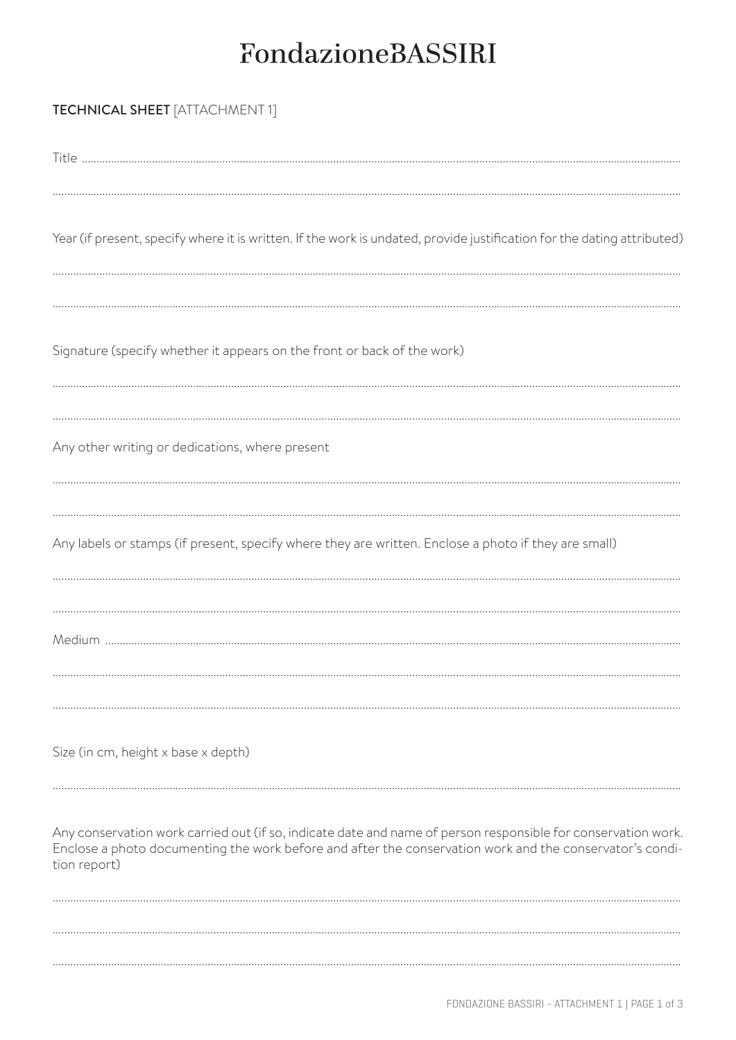## FondazioneBASSIRI

| <b>TECHNICAL SHEET</b> [ATTACHMENT 1]                                                                                                                                                                                                     |
|-------------------------------------------------------------------------------------------------------------------------------------------------------------------------------------------------------------------------------------------|
|                                                                                                                                                                                                                                           |
| Year (if present, specify where it is written. If the work is undated, provide justification for the dating attributed)                                                                                                                   |
| Signature (specify whether it appears on the front or back of the work)                                                                                                                                                                   |
| Any other writing or dedications, where present                                                                                                                                                                                           |
| Any labels or stamps (if present, specify where they are written. Enclose a photo if they are small)                                                                                                                                      |
|                                                                                                                                                                                                                                           |
| Size (in cm, height x base x depth)                                                                                                                                                                                                       |
| Any conservation work carried out (if so, indicate date and name of person responsible for conservation work.<br>Enclose a photo documenting the work before and after the conservation work and the conservator's condi-<br>tion report) |
|                                                                                                                                                                                                                                           |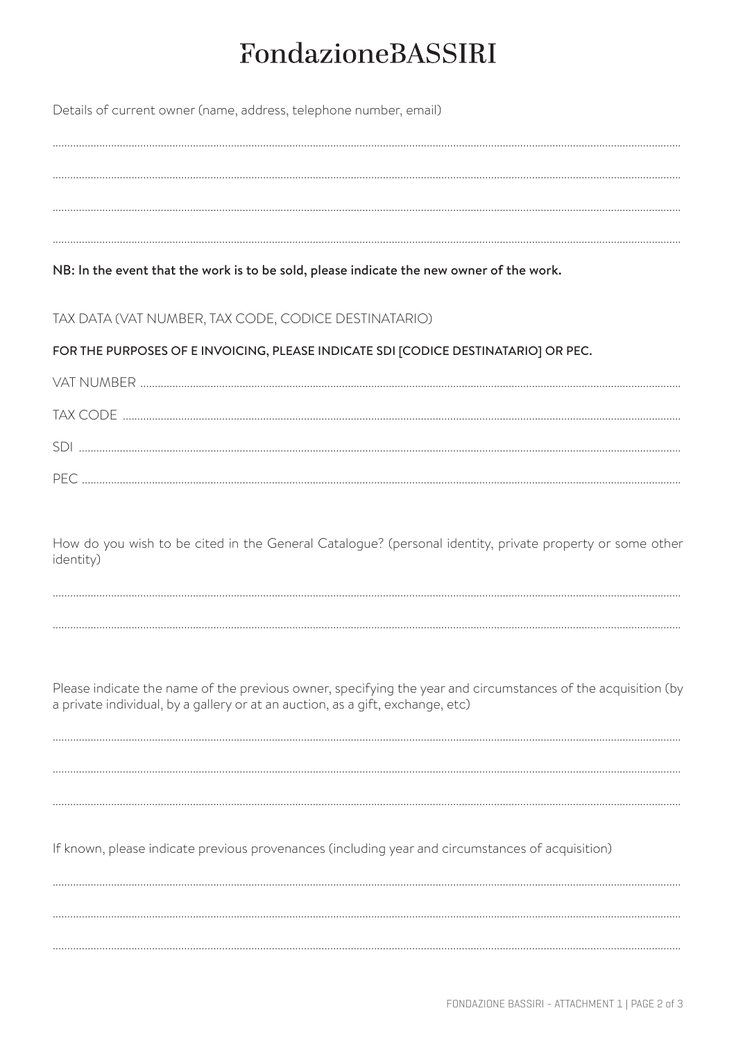## FondazioneBASSIRI

| Details of current owner (name, address, telephone number, email) |  |
|-------------------------------------------------------------------|--|
|-------------------------------------------------------------------|--|

NB: In the event that the work is to be sold, please indicate the new owner of the work.

TAX DATA (VAT NUMBER, TAX CODE, CODICE DESTINATARIO)

FOR THE PURPOSES OF E INVOICING, PLEASE INDICATE SDI [CODICE DESTINATARIO] OR PEC.

| TAX CODE |
|----------|
|          |
| PFC      |

How do you wish to be cited in the General Catalogue? (personal identity, private property or some other identity)



Please indicate the name of the previous owner, specifying the year and circumstances of the acquisition (by a private individual, by a gallery or at an auction, as a gift, exchange, etc)

If known, please indicate previous provenances (including year and circumstances of acquisition)